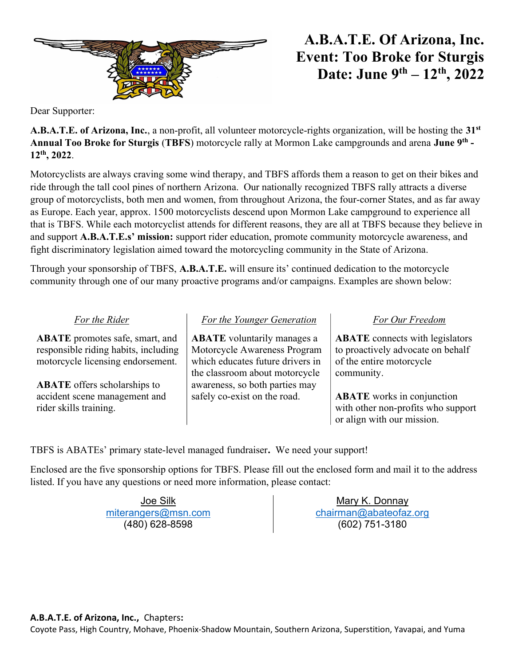

## $A.B.A.T.E. Of Arizona, Inc.$ Event: Too Broke for Sturgis Date: June  $9^{th} - 12^{th}$ , 2022

Dear Supporter:

**A.B.A.T.E. of Arizona, Inc.**, a non-profit, all volunteer motorcycle-rights organization, will be hosting the  $31<sup>st</sup>$ Annual Too Broke for Sturgis (TBFS) motorcycle rally at Mormon Lake campgrounds and arena June 9<sup>th</sup> -12th, 2022.

Motorcyclists are always craving some wind therapy, and TBFS affords them a reason to get on their bikes and ride through the tall cool pines of northern Arizona. Our nationally recognized TBFS rally attracts a diverse group of motorcyclists, both men and women, from throughout Arizona, the four-corner States, and as far away as Europe. Each year, approx. 1500 motorcyclists descend upon Mormon Lake campground to experience all that is TBFS. While each motorcyclist attends for different reasons, they are all at TBFS because they believe in and support A.B.A.T.E.s' mission: support rider education, promote community motorcycle awareness, and fight discriminatory legislation aimed toward the motorcycling community in the State of Arizona.

Through your sponsorship of TBFS, A.B.A.T.E. will ensure its' continued dedication to the motorcycle community through one of our many proactive programs and/or campaigns. Examples are shown below:

ABATE promotes safe, smart, and responsible riding habits, including motorcycle licensing endorsement.

ABATE offers scholarships to accident scene management and rider skills training.

ABATE voluntarily manages a Motorcycle Awareness Program which educates future drivers in the classroom about motorcycle awareness, so both parties may safely co-exist on the road.

## For the Rider For the Younger Generation For Our Freedom

ABATE connects with legislators to proactively advocate on behalf of the entire motorcycle community.

ABATE works in conjunction with other non-profits who support or align with our mission.

TBFS is ABATEs' primary state-level managed fundraiser. We need your support!

Enclosed are the five sponsorship options for TBFS. Please fill out the enclosed form and mail it to the address listed. If you have any questions or need more information, please contact:

> Joe Silk miterangers@msn.com (480) 628-8598

Mary K. Donnay chairman@abateofaz.org (602) 751-3180